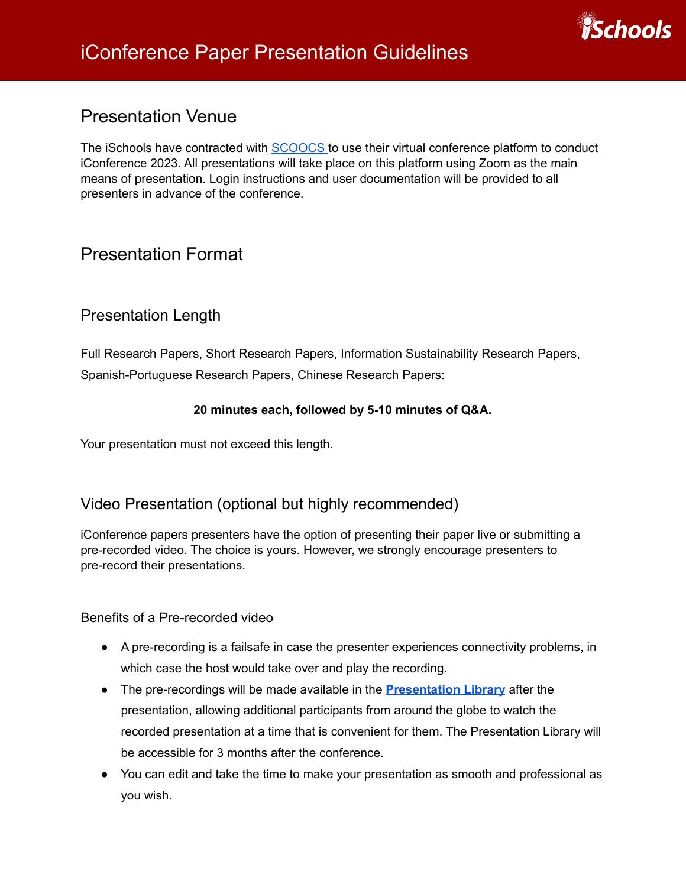

## Presentation Venue

The iSchools have contracted with [SCOOCS](https://ischools.scoocs.co/login) to use their virtual conference platform to conduct iConference 2023. All presentations will take place on this platform using Zoom as the main means of presentation. Login instructions and user documentation will be provided to all presenters in advance of the conference.

# Presentation Format

#### Presentation Length

Full Research Papers, Short Research Papers, Information Sustainability Research Papers, Spanish-Portuguese Research Papers, Chinese Research Papers:

#### **20 minutes each, followed by 5-10 minutes of Q&A.**

Your presentation must not exceed this length.

#### Video Presentation (optional but highly recommended)

iConference papers presenters have the option of presenting their paper live or submitting a pre-recorded video. The choice is yours. However, we strongly encourage presenters to pre-record their presentations.

Benefits of a Pre-recorded video

- A pre-recording is a failsafe in case the presenter experiences connectivity problems, in which case the host would take over and play the recording.
- The pre-recordings will be made available in the **[Presentation](https://ischools.org/iConference-2023-Features/) Library** after the presentation, allowing additional participants from around the globe to watch the recorded presentation at a time that is convenient for them. The Presentation Library will be accessible for 3 months after the conference.
- You can edit and take the time to make your presentation as smooth and professional as you wish.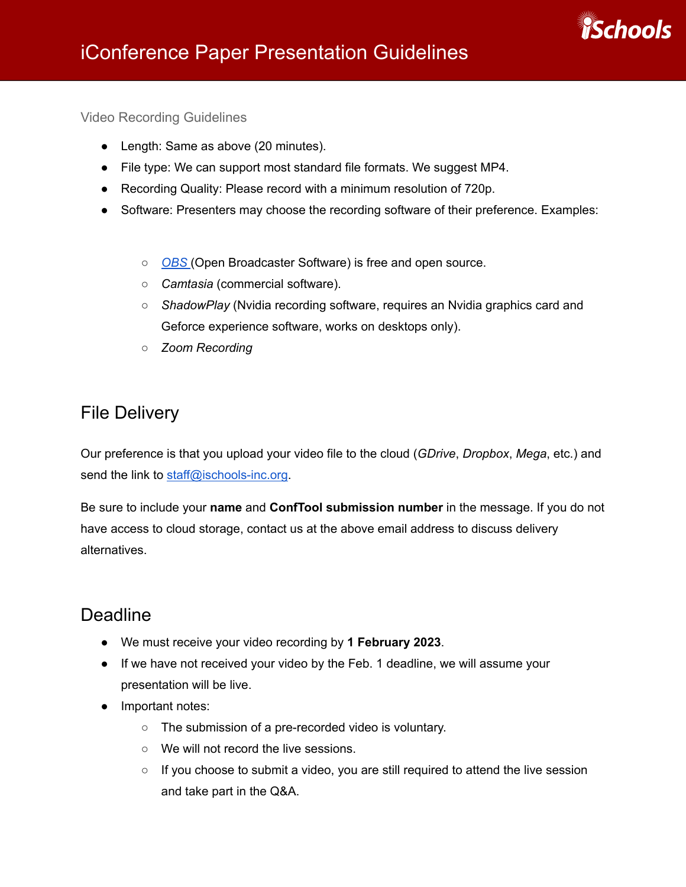

Video Recording Guidelines

- Length: Same as above (20 minutes).
- File type: We can support most standard file formats. We suggest MP4.
- Recording Quality: Please record with a minimum resolution of 720p.
- Software: Presenters may choose the recording software of their preference. Examples:
	- *[OBS](https://obsproject.com/de)* (Open Broadcaster Software) is free and open source.
	- *Camtasia* (commercial software).
	- *ShadowPlay* (Nvidia recording software, requires an Nvidia graphics card and Geforce experience software, works on desktops only).
	- *○ Zoom Recording*

# File Delivery

Our preference is that you upload your video file to the cloud (*GDrive*, *Dropbox*, *Mega*, etc.) and send the link to [staff@ischools-inc.org](mailto:staff@ischools-inc.org).

Be sure to include your **name** and **ConfTool submission number** in the message. If you do not have access to cloud storage, contact us at the above email address to discuss delivery alternatives.

# **Deadline**

- We must receive your video recording by **1 February 2023**.
- If we have not received your video by the Feb. 1 deadline, we will assume your presentation will be live.
- Important notes:
	- The submission of a pre-recorded video is voluntary.
	- We will not record the live sessions.
	- If you choose to submit a video, you are still required to attend the live session and take part in the Q&A.